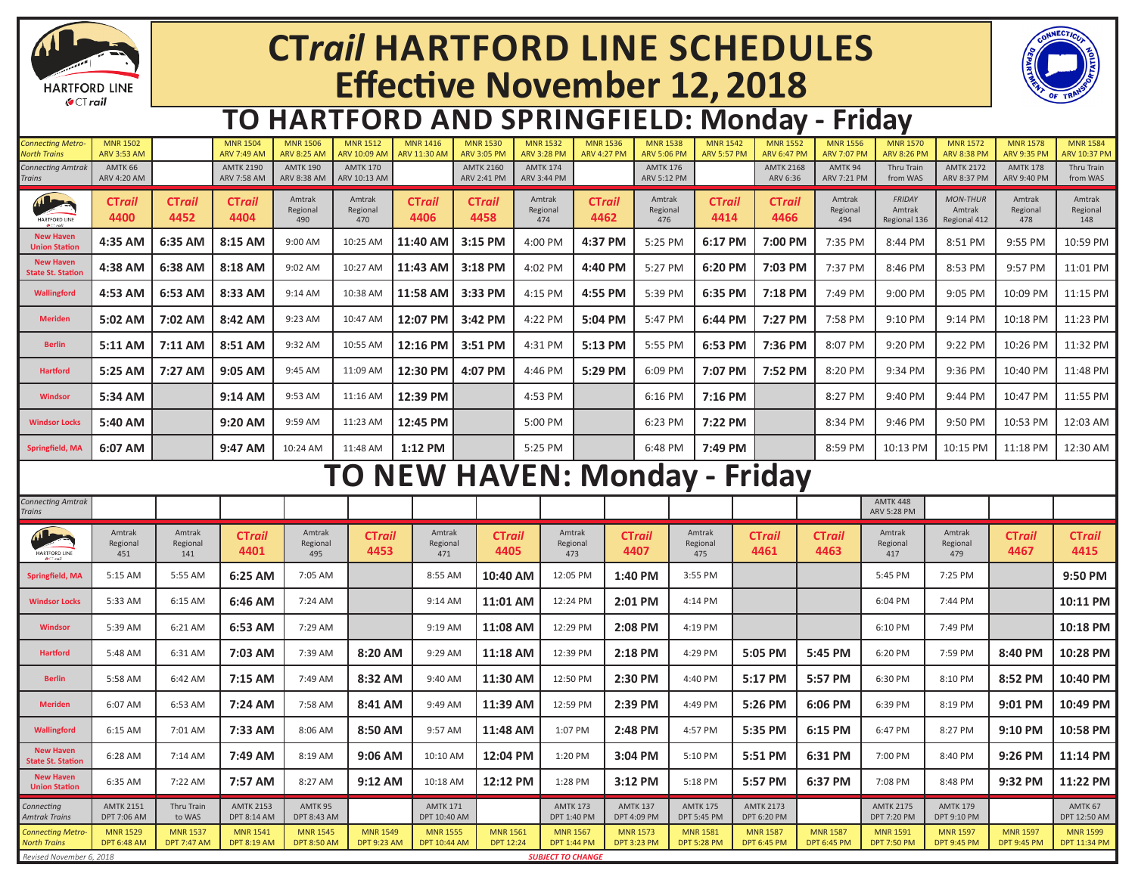

# **CT***rail* **HARTFORD LINE SCHEDULES Effective November 12, 2018**



#### **TO HARTFORD AND SPRINGFIELD: Monday - Friday**

| <b>Connecting Metro-</b><br><b>North Trains</b> | <b>MNR 1502</b><br><b>ARV 3:53 AM</b>  |                                       | <b>MNR 1504</b><br><b>ARV 7:49 AM</b>  | <b>MNR 1506</b><br><b>ARV 8:25 AM</b> | <b>MNR 1512</b><br><b>ARV 10:09 AM</b> | <b>MNR 1416</b><br><b>ARV 11:30 AM</b> | <b>MNR 1530</b><br><b>ARV 3:05 PM</b> | <b>MNR 1532</b><br><b>ARV 3:28 PM</b> | <b>MNR 1536</b><br><b>ARV 4:27 PM</b> | <b>MNR 1538</b><br><b>ARV 5:06 PM</b> |                                       | <b>MNR 1542</b><br><b>ARV 5:57 PM</b> | <b>MNR 1552</b><br><b>ARV 6:47 PM</b>  | <b>MNR 1556</b><br><b>ARV 7:07 PM</b> | <b>MNR 1570</b><br><b>ARV 8:26 PM</b>   | <b>MNR 1572</b><br><b>ARV 8:38 PM</b>     | <b>MNR 1578</b><br><b>ARV 9:35 PM</b> | <b>MNR 1584</b><br>ARV 10:37 PM        |
|-------------------------------------------------|----------------------------------------|---------------------------------------|----------------------------------------|---------------------------------------|----------------------------------------|----------------------------------------|---------------------------------------|---------------------------------------|---------------------------------------|---------------------------------------|---------------------------------------|---------------------------------------|----------------------------------------|---------------------------------------|-----------------------------------------|-------------------------------------------|---------------------------------------|----------------------------------------|
| <b>Connecting Amtrak</b><br>Trains              | AMTK 66<br>ARV 4:20 AM                 |                                       | <b>AMTK 2190</b><br><b>ARV 7:58 AM</b> | <b>AMTK 190</b><br>ARV 8:38 AM        | <b>AMTK 170</b><br>ARV 10:13 AM        |                                        | <b>AMTK 2160</b><br>ARV 2:41 PM       | <b>AMTK 174</b><br><b>ARV 3:44 PM</b> |                                       | <b>AMTK 176</b><br><b>ARV 5:12 PM</b> |                                       |                                       | <b>AMTK 2168</b><br>ARV 6:36           | AMTK 94<br>ARV 7:21 PM                | Thru Train<br>from WAS                  | <b>AMTK 2172</b><br><b>ARV 8:37 PM</b>    | <b>AMTK 178</b><br>ARV 9:40 PM        | Thru Train<br>from WAS                 |
| HARTFORD LINE                                   | <b>CTrail</b><br>4400                  | CTrail<br>4452                        | <b>CTrail</b><br>4404                  | Amtrak<br>Regional<br>490             | Amtrak<br>Regional<br>470              | <b>CTrail</b><br>4406                  | CTrail<br>4458                        | Amtrak<br>Regional<br>474             | CTrail<br>4462                        | Amtrak<br>Regional<br>476             |                                       | <b>CTrail</b><br>4414                 | CTrail<br>4466                         | Amtrak<br>Regional<br>494             | <b>FRIDAY</b><br>Amtrak<br>Regional 136 | <b>MON-THUR</b><br>Amtrak<br>Regional 412 | Amtrak<br>Regional<br>478             | Amtrak<br>Regional<br>148              |
| <b>New Haver</b><br><b>Union Station</b>        | 4:35 AM                                | 6:35 AM                               | 8:15 AM                                | 9:00 AM                               | 10:25 AM                               | 11:40 AM                               | 3:15 PM                               | 4:00 PM                               | 4:37 PM                               | 5:25 PM                               |                                       | 6:17 PM                               | 7:00 PM                                | 7:35 PM                               | 8:44 PM                                 | 8:51 PM                                   | 9:55 PM                               | 10:59 PM                               |
| <b>New Haven</b><br>State St. Statior           | 4:38 AM                                | 6:38 AM                               | 8:18 AM                                | 9:02 AM                               | 10:27 AM                               | 11:43 AM                               | 3:18 PM                               | 4:02 PM                               | 4:40 PM                               | 5:27 PM                               |                                       | 6:20 PM                               | 7:03 PM                                | 7:37 PM                               | 8:46 PM                                 | 8:53 PM                                   | 9:57 PM                               | 11:01 PM                               |
| Wallingford                                     | 4:53 AM                                | 6:53 AM                               | 8:33 AM                                | 9:14 AM                               | 10:38 AM                               | 11:58 AM                               | 3:33 PM                               | 4:15 PM                               | 4:55 PM                               | 5:39 PM                               |                                       | 6:35 PM                               | 7:18 PM                                | 7:49 PM                               | 9:00 PM                                 | 9:05 PM                                   | 10:09 PM                              | 11:15 PM                               |
| <b>Meriden</b>                                  | 5:02 AM                                | 7:02 AM                               | 8:42 AM                                | 9:23 AM                               | 10:47 AM                               | 12:07 PM                               | 3:42 PM                               | 4:22 PM                               | 5:04 PM                               | 5:47 PM                               |                                       | 6:44 PM                               | 7:27 PM                                | 7:58 PM                               | 9:10 PM                                 | 9:14 PM                                   | 10:18 PM                              | 11:23 PM                               |
| <b>Berlin</b>                                   | 5:11 AM                                | 7:11 AM                               | 8:51 AM                                | 9:32 AM                               | 10:55 AM                               | 12:16 PM                               | 3:51 PM                               | 4:31 PM                               | 5:13 PM                               | 5:55 PM                               |                                       | 6:53 PM                               | 7:36 PM                                | 8:07 PM                               | 9:20 PM                                 | 9:22 PM                                   | 10:26 PM                              | 11:32 PM                               |
| <b>Hartford</b>                                 | 5:25 AM                                | 7:27 AM                               | 9:05 AM                                | 9:45 AM                               | 11:09 AM                               | 12:30 PM                               | 4:07 PM                               | 4:46 PM                               | 5:29 PM                               | 6:09 PM                               |                                       | 7:07 PM                               | 7:52 PM                                | 8:20 PM                               | 9:34 PM                                 | 9:36 PM                                   | 10:40 PM                              | 11:48 PM                               |
| <b>Windsor</b>                                  | 5:34 AM                                |                                       | 9:14 AM                                | 9:53 AM                               | 11:16 AM                               | 12:39 PM                               |                                       | 4:53 PM                               |                                       | 6:16 PM                               |                                       | 7:16 PM                               |                                        | 8:27 PM                               | 9:40 PM                                 | 9:44 PM                                   | 10:47 PM                              | 11:55 PM                               |
| <b>Windsor Locks</b>                            | 5:40 AM                                |                                       | 9:20 AM                                | 9:59 AM                               | 11:23 AM                               | 12:45 PM                               |                                       | 5:00 PM                               |                                       | 6:23 PM                               |                                       | 7:22 PM                               |                                        | 8:34 PM                               | 9:46 PM                                 | 9:50 PM                                   | 10:53 PM                              | 12:03 AM                               |
| <b>Springfield, MA</b>                          | 6:07 AM                                |                                       | 9:47 AM                                | 10:24 AM                              | 11:48 AM                               | 1:12 PM                                |                                       | 5:25 PM                               |                                       | 6:48 PM                               |                                       | 7:49 PM                               |                                        | 8:59 PM                               | 10:13 PM                                | 10:15 PM                                  | 11:18 PM                              | 12:30 AM                               |
| <b>TO NEW HAVEN: Monday - Friday</b>            |                                        |                                       |                                        |                                       |                                        |                                        |                                       |                                       |                                       |                                       |                                       |                                       |                                        |                                       |                                         |                                           |                                       |                                        |
| <b>Connecting Amtrak</b><br>Trains              |                                        |                                       |                                        |                                       |                                        |                                        |                                       |                                       |                                       |                                       |                                       |                                       |                                        |                                       | <b>AMTK 448</b><br><b>ARV 5:28 PM</b>   |                                           |                                       |                                        |
| HARTFORD LINE                                   | Amtrak<br>Regional<br>451              | Amtrak<br>Regional<br>141             | CTrail<br>4401                         | Amtrak<br>Regional<br>495             | CTrail<br>4453                         | Amtrak<br>Regional<br>471              | <b>CTrail</b><br>4405                 |                                       | Amtrak<br>Regional<br>473             | <b>CTrail</b><br>4407                 | Amtrak<br>Regional<br>475             |                                       | <b>CTrail</b><br>4461                  | <b>CTrail</b><br>4463                 | Amtrak<br>Regional<br>417               | Amtrak<br>Regional<br>479                 | <b>CTrail</b><br>4467                 | CTrail<br>4415                         |
| <b>Springfield, MA</b>                          | 5:15 AM                                | 5:55 AM                               | 6:25 AM                                | 7:05 AM                               |                                        | 8:55 AM                                | 10:40 AM                              |                                       | 12:05 PM                              | 1:40 PM                               | 3:55 PM                               |                                       |                                        |                                       | 5:45 PM                                 | 7:25 PM                                   |                                       | 9:50 PM                                |
| <b>Windsor Locks</b>                            | 5:33 AM                                | 6:15 AM                               | 6:46 AM                                | 7:24 AM                               |                                        | 9:14 AM                                | 11:01 AM                              |                                       | 12:24 PM                              | 2:01 PM                               | 4:14 PM                               |                                       |                                        |                                       | 6:04 PM                                 | 7:44 PM                                   |                                       | 10:11 PM                               |
| <b>Windsor</b>                                  | 5:39 AM                                | 6:21 AM                               | 6:53 AM                                | 7:29 AM                               |                                        | 9:19 AM                                | 11:08 AM                              |                                       | 12:29 PM                              | 2:08 PM                               | 4:19 PM                               |                                       |                                        |                                       | 6:10 PM                                 | 7:49 PM                                   |                                       | 10:18 PM                               |
| <b>Hartford</b>                                 | 5:48 AM                                | 6:31 AM                               | 7:03 AM                                | 7:39 AM                               | 8:20 AM                                | 9:29 AM                                | 11:18 AM                              |                                       | 12:39 PM                              | 2:18 PM                               | 4:29 PM                               |                                       | 5:05 PM                                | 5:45 PM                               | 6:20 PM                                 | 7:59 PM                                   | 8:40 PM                               | 10:28 PM                               |
| <b>Berlin</b>                                   | 5:58 AM                                | 6:42 AM                               | 7:15 AM                                | 7:49 AM                               | 8:32 AM                                | 9:40 AM                                | 11:30 AM                              |                                       | 12:50 PM                              | 2:30 PM                               | 4:40 PM                               |                                       | 5:17 PM                                | 5:57 PM                               | 6:30 PM                                 | 8:10 PM                                   | 8:52 PM                               | 10:40 PM                               |
| <b>Meriden</b>                                  | 6:07 AM                                | 6:53 AM                               | 7:24 AM                                | 7:58 AM                               | 8:41 AM                                | 9:49 AM                                | 11:39 AM                              |                                       | 12:59 PM                              | 2:39 PM                               | 4:49 PM                               |                                       | 5:26 PM                                | 6:06 PM                               | 6:39 PM                                 | 8:19 PM                                   | 9:01 PM                               | 10:49 PM                               |
| Wallingford                                     | 6:15 AM                                | 7:01 AM                               | 7:33 AM                                | 8:06 AM                               | 8:50 AM                                | 9:57 AM                                | 11:48 AM                              |                                       | 1:07 PM                               | 2:48 PM                               | 4:57 PM                               |                                       | 5:35 PM                                | 6:15 PM                               | 6:47 PM                                 | 8:27 PM                                   | 9:10 PM                               | 10:58 PM                               |
| <b>New Haven</b><br><b>State St. Station</b>    | 6:28 AM                                | 7:14 AM                               | 7:49 AM                                | 8:19 AM                               | $9:06$ AM                              | 10:10 AM                               | 12:04 PM                              |                                       | 1:20 PM                               | 3:04 PM                               | 5:10 PM                               |                                       | 5:51 PM                                | 6:31 PM                               | 7:00 PM                                 | 8:40 PM                                   | 9:26 PM                               | 11:14 PM                               |
| <b>New Haven</b><br><b>Union Station</b>        | 6:35 AM                                | 7:22 AM                               | 7:57 AM                                | 8:27 AM                               | 9:12 AM                                | 10:18 AM                               | 12:12 PM                              |                                       | 1:28 PM                               | 3:12 PM                               | 5:18 PM                               |                                       | 5:57 PM                                | 6:37 PM                               | 7:08 PM                                 | 8:48 PM                                   | 9:32 PM                               | 11:22 PM                               |
| Connecting<br><b>Amtrak Trains</b>              | <b>AMTK 2151</b><br><b>DPT 7:06 AM</b> | Thru Train<br>to WAS                  | <b>AMTK 2153</b><br><b>DPT 8:14 AM</b> | AMTK 95<br><b>DPT 8:43 AM</b>         |                                        | <b>AMTK 171</b><br>DPT 10:40 AM        |                                       |                                       | <b>AMTK 173</b><br><b>DPT 1:40 PM</b> | <b>AMTK 137</b><br>DPT 4:09 PM        | <b>AMTK 175</b><br><b>DPT 5:45 PM</b> |                                       | <b>AMTK 2173</b><br><b>DPT 6:20 PM</b> |                                       | <b>AMTK 2175</b><br><b>DPT 7:20 PM</b>  | <b>AMTK 179</b><br>DPT 9:10 PM            |                                       | AMTK 67<br>DPT 12:50 AM                |
| Connecting Metro-<br><b>North Trains</b>        | <b>MNR 1529</b><br><b>DPT 6:48 AM</b>  | <b>MNR 1537</b><br><b>DPT 7:47 AM</b> | <b>MNR 1541</b><br><b>DPT 8:19 AM</b>  | <b>MNR 1545</b><br><b>DPT 8:50 AM</b> | <b>MNR 1549</b><br><b>DPT 9:23 AM</b>  | <b>MNR 1555</b><br><b>DPT 10:44 AM</b> | <b>MNR 1561</b><br><b>DPT 12:24</b>   |                                       | <b>MNR 1567</b><br><b>DPT 1:44 PM</b> | <b>MNR 1573</b><br><b>DPT 3:23 PM</b> | <b>MNR 1581</b><br><b>DPT 5:28 PM</b> |                                       | <b>MNR 1587</b><br><b>DPT 6:45 PM</b>  | <b>MNR 1587</b><br><b>DPT 6:45 PM</b> | <b>MNR 1591</b><br><b>DPT 7:50 PM</b>   | <b>MNR 1597</b><br><b>DPT 9:45 PM</b>     | <b>MNR 1597</b><br><b>DPT 9:45 PM</b> | <b>MNR 1599</b><br><b>DPT 11:34 PM</b> |
| Revised November 6, 2018                        |                                        |                                       |                                        |                                       |                                        |                                        |                                       | <b>SUBJECT TO CHANGE</b>              |                                       |                                       |                                       |                                       |                                        |                                       |                                         |                                           |                                       |                                        |